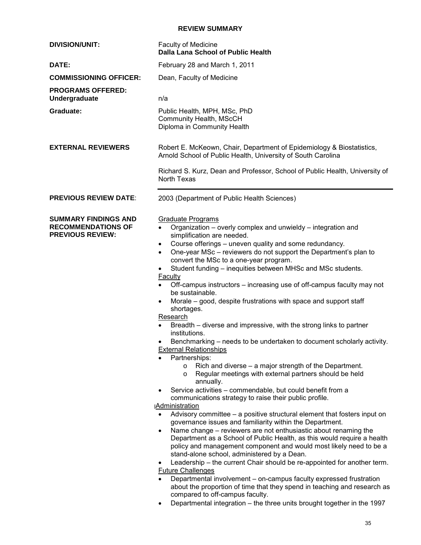### **REVIEW SUMMARY**

| <b>DIVISION/UNIT:</b>                                                               | Faculty of Medicine<br><b>Dalla Lana School of Public Health</b>                                                                                                                                                                                                                                                                                                                                                                                                                                                                                                                                                                                                                                                                                                                                                                                                                                                                                                                                                                                                                                                                                                                                                                                                                                                                                                                                                                                                                                                                                                                                                                                                                                                                                                                                                                                                                                                        |
|-------------------------------------------------------------------------------------|-------------------------------------------------------------------------------------------------------------------------------------------------------------------------------------------------------------------------------------------------------------------------------------------------------------------------------------------------------------------------------------------------------------------------------------------------------------------------------------------------------------------------------------------------------------------------------------------------------------------------------------------------------------------------------------------------------------------------------------------------------------------------------------------------------------------------------------------------------------------------------------------------------------------------------------------------------------------------------------------------------------------------------------------------------------------------------------------------------------------------------------------------------------------------------------------------------------------------------------------------------------------------------------------------------------------------------------------------------------------------------------------------------------------------------------------------------------------------------------------------------------------------------------------------------------------------------------------------------------------------------------------------------------------------------------------------------------------------------------------------------------------------------------------------------------------------------------------------------------------------------------------------------------------------|
| DATE:                                                                               | February 28 and March 1, 2011                                                                                                                                                                                                                                                                                                                                                                                                                                                                                                                                                                                                                                                                                                                                                                                                                                                                                                                                                                                                                                                                                                                                                                                                                                                                                                                                                                                                                                                                                                                                                                                                                                                                                                                                                                                                                                                                                           |
| <b>COMMISSIONING OFFICER:</b>                                                       | Dean, Faculty of Medicine                                                                                                                                                                                                                                                                                                                                                                                                                                                                                                                                                                                                                                                                                                                                                                                                                                                                                                                                                                                                                                                                                                                                                                                                                                                                                                                                                                                                                                                                                                                                                                                                                                                                                                                                                                                                                                                                                               |
| <b>PROGRAMS OFFERED:</b><br>Undergraduate                                           | n/a                                                                                                                                                                                                                                                                                                                                                                                                                                                                                                                                                                                                                                                                                                                                                                                                                                                                                                                                                                                                                                                                                                                                                                                                                                                                                                                                                                                                                                                                                                                                                                                                                                                                                                                                                                                                                                                                                                                     |
| Graduate:                                                                           | Public Health, MPH, MSc, PhD<br>Community Health, MScCH<br>Diploma in Community Health                                                                                                                                                                                                                                                                                                                                                                                                                                                                                                                                                                                                                                                                                                                                                                                                                                                                                                                                                                                                                                                                                                                                                                                                                                                                                                                                                                                                                                                                                                                                                                                                                                                                                                                                                                                                                                  |
| <b>EXTERNAL REVIEWERS</b>                                                           | Robert E. McKeown, Chair, Department of Epidemiology & Biostatistics,<br>Arnold School of Public Health, University of South Carolina                                                                                                                                                                                                                                                                                                                                                                                                                                                                                                                                                                                                                                                                                                                                                                                                                                                                                                                                                                                                                                                                                                                                                                                                                                                                                                                                                                                                                                                                                                                                                                                                                                                                                                                                                                                   |
|                                                                                     | Richard S. Kurz, Dean and Professor, School of Public Health, University of<br>North Texas                                                                                                                                                                                                                                                                                                                                                                                                                                                                                                                                                                                                                                                                                                                                                                                                                                                                                                                                                                                                                                                                                                                                                                                                                                                                                                                                                                                                                                                                                                                                                                                                                                                                                                                                                                                                                              |
| <b>PREVIOUS REVIEW DATE:</b>                                                        | 2003 (Department of Public Health Sciences)                                                                                                                                                                                                                                                                                                                                                                                                                                                                                                                                                                                                                                                                                                                                                                                                                                                                                                                                                                                                                                                                                                                                                                                                                                                                                                                                                                                                                                                                                                                                                                                                                                                                                                                                                                                                                                                                             |
| <b>SUMMARY FINDINGS AND</b><br><b>RECOMMENDATIONS OF</b><br><b>PREVIOUS REVIEW:</b> | <b>Graduate Programs</b><br>Organization – overly complex and unwieldy – integration and<br>$\bullet$<br>simplification are needed.<br>Course offerings – uneven quality and some redundancy.<br>$\bullet$<br>One-year MSc - reviewers do not support the Department's plan to<br>$\bullet$<br>convert the MSc to a one-year program.<br>Student funding – inequities between MHSc and MSc students.<br>$\bullet$<br><b>Faculty</b><br>Off-campus instructors – increasing use of off-campus faculty may not<br>$\bullet$<br>be sustainable.<br>Morale – good, despite frustrations with space and support staff<br>shortages.<br>Research<br>Breadth – diverse and impressive, with the strong links to partner<br>institutions.<br>Benchmarking – needs to be undertaken to document scholarly activity.<br><b>External Relationships</b><br>Partnerships:<br>Rich and diverse – a major strength of the Department.<br>$\circ$<br>Regular meetings with external partners should be held<br>$\circ$<br>annually.<br>Service activities – commendable, but could benefit from a<br>communications strategy to raise their public profile.<br><b>Administration</b><br>Advisory committee - a positive structural element that fosters input on<br>$\bullet$<br>governance issues and familiarity within the Department.<br>Name change – reviewers are not enthusiastic about renaming the<br>$\bullet$<br>Department as a School of Public Health, as this would require a health<br>policy and management component and would most likely need to be a<br>stand-alone school, administered by a Dean.<br>Leadership – the current Chair should be re-appointed for another term.<br>٠<br><b>Future Challenges</b><br>Departmental involvement - on-campus faculty expressed frustration<br>$\bullet$<br>about the proportion of time that they spend in teaching and research as<br>compared to off-campus faculty. |

 •Departmental integration – the three units brought together in the 1997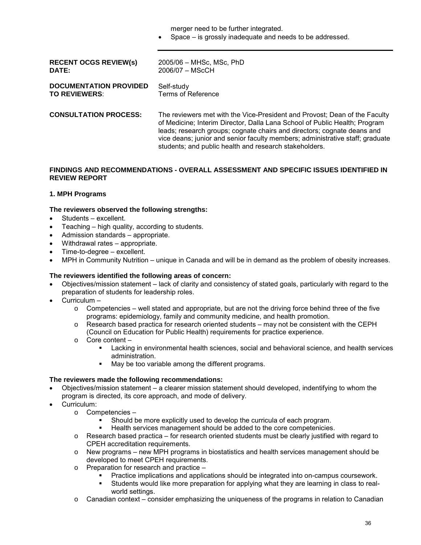merger need to be further integrated.

•Space – is grossly inadequate and needs to be addressed.

| <b>RECENT OCGS REVIEW(s)</b>  | 2005/06 - MHSc, MSc, PhD                                                                                                                                                                                                                                                                                                                                                       |
|-------------------------------|--------------------------------------------------------------------------------------------------------------------------------------------------------------------------------------------------------------------------------------------------------------------------------------------------------------------------------------------------------------------------------|
| <b>DATE:</b>                  | $2006/07 - MSCCH$                                                                                                                                                                                                                                                                                                                                                              |
| <b>DOCUMENTATION PROVIDED</b> | Self-study                                                                                                                                                                                                                                                                                                                                                                     |
| <b>TO REVIEWERS:</b>          | Terms of Reference                                                                                                                                                                                                                                                                                                                                                             |
| <b>CONSULTATION PROCESS:</b>  | The reviewers met with the Vice-President and Provost; Dean of the Faculty<br>of Medicine; Interim Director, Dalla Lana School of Public Health; Program<br>leads; research groups; cognate chairs and directors; cognate deans and<br>vice deans; junior and senior faculty members; administrative staff; graduate<br>students; and public health and research stakeholders. |

#### **FINDINGS AND RECOMMENDATIONS - OVERALL ASSESSMENT AND SPECIFIC ISSUES IDENTIFIED IN REVIEW REPORT**

### **1. MPH Programs**

#### **The reviewers observed the following strengths:**

- •Students excellent.
- Teaching high quality, according to students.
- •Admission standards appropriate.
- •Withdrawal rates appropriate.
- •Time-to-degree excellent.
- •MPH in Community Nutrition unique in Canada and will be in demand as the problem of obesity increases.

#### **The reviewers identified the following areas of concern:**

- •Objectives/mission statement lack of clarity and consistency of stated goals, particularly with regard to the preparation of students for leadership roles.
- •Curriculum
	- $\circ$  Competencies well stated and appropriate, but are not the driving force behind three of the five programs: epidemiology, family and community medicine, and health promotion.
	- $\circ$  Research based practica for research oriented students may not be consistent with the CEPH (Council on Education for Public Health) requirements for practice experience.
	- $\circ$  Core content
		- **EXECT** Lacking in environmental health sciences, social and behavioral science, and health services administration.
		- May be too variable among the different programs.

#### **The reviewers made the following recommendations:**

- •Objectives/mission statement a clearer mission statement should developed, indentifying to whom the program is directed, its core approach, and mode of delivery.
- Curriculum:
	- Competencies -
		- Should be more explicitly used to develop the curricula of each program.
		- Health services management should be added to the core competenicies.
	- $\circ$ Research based practica – for research oriented students must be clearly justified with regard to CPEH accreditation requirements.
	- $\circ$  New programs new MPH programs in biostatistics and health services management should be developed to meet CPEH requirements.
	- Preparation for research and practice -
		- Practice implications and applications should be integrated into on-campus coursework.
		- Students would like more preparation for applying what they are learning in class to realworld settings.
	- $\circ$  Canadian context consider emphasizing the uniqueness of the programs in relation to Canadian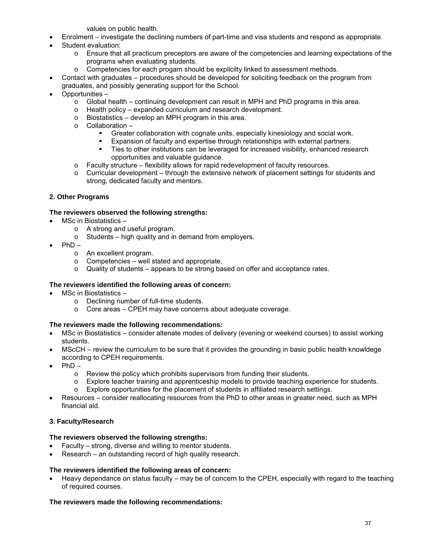values on public health.

- •Enrolment investigate the declining numbers of part-time and visa students and respond as appropriate.
- Student evaluation:
	- $\circ$  Ensure that all practicum preceptors are aware of the competencies and learning expectations of the programs when evaluating students.
	- $\circ$  Competencies for each progam should be explicilty linked to assessment methods.
- •Contact with graduates procedures should be developed for soliciting feedback on the program from graduates, and possibly generating support for the School.
- •Opportunities
	- $\circ$  Global health continuing development can result in MPH and PhD programs in this area.
	- $\circ$  Health policy expanded curriculum and research development.
	- $\circ$  Biostatistics develop an MPH program in this area.
	- Collaboration -
		- **•** Greater collaboration with cognate units, especially kinesiology and social work.
		- Expansion of faculty and expertise through relationships with external partners.
		- opportunities and valuable guidance. Ties to other institutions can be leveraged for increased visibility, enhanced research
	- $\circ$  Faculty structure flexibility allows for rapid redevelopment of faculty resources.
	- strong, dedicated faculty and mentors.  $\circ$  Curricular development – through the extensive network of placement settings for students and

## **2. Other Programs**

### **The reviewers observed the following strengths:**

- •MSc in Biostatistics
	- o A strong and useful program.
	- $\circ$  Students high quality and in demand from employers.
- $PhD$ 
	- o An excellent program.
	- $\circ$  Competencies well stated and appropriate.
	- $\circ$  Quality of students appears to be strong based on offer and acceptance rates.

### **The reviewers identified the following areas of concern:**

- MSc in Biostatistics
	- o Declining number of full-time students.
	- $\circ$ Core areas – CPEH may have concerns about adequate coverage.

### **The reviewers made the following recommendations:**

- •MSc in Biostatistics consider altenate modes of delivery (evening or weekend courses) to assist working students.
- •MScCH review the curriculum to be sure that it provides the grounding in basic public health knowldege according to CPEH requirements.
- $PhD -$ 
	- $\circ$  Review the policy which prohibits supervisors from funding their students.
	- $\circ$  Explore teacher training and apprenticeship models to provide teaching experience for students.
	- $\circ$  Explore opportunities for the placement of students in affiliated research settings.
- •Resources consider reallocating resources from the PhD to other areas in greater need, such as MPH financial aid.

### **3. Faculty/Research**

### **The reviewers observed the following strengths:**

- Faculty strong, diverse and willing to mentor students.
- Research an outstanding record of high quality research.

## **The reviewers identified the following areas of concern:**

•Heavy dependance on status faculty – may be of concern to the CPEH, especially with regard to the teaching of required courses.

### **The reviewers made the following recommendations:**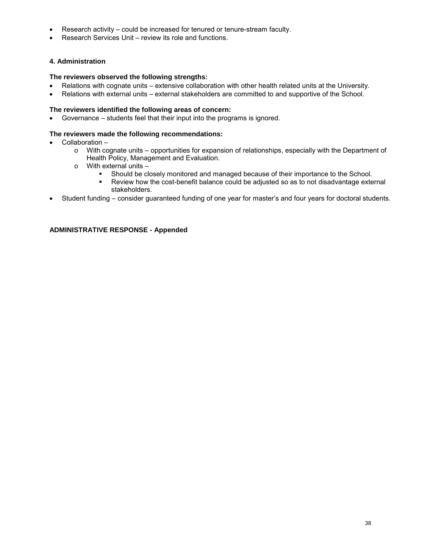- Research activity could be increased for tenured or tenure-stream faculty.
- •Research Services Unit review its role and functions.

### **4. Administration**

#### **The reviewers observed the following strengths:**

- $\bullet$ •Relations with cognate units – extensive collaboration with other health related units at the University.
- •Relations with external units external stakeholders are committed to and supportive of the School.

### **The reviewers identified the following areas of concern:**

•Governance – students feel that their input into the programs is ignored.

#### **The reviewers made the following recommendations:**

- •Collaboration
	- o With cognate units opportunities for expansion of relationships, especially with the Department of Health Policy, Management and Evaluation.
	- $\circ$  With external units  $-$ 
		- Should be closely monitored and managed because of their importance to the School.<br>Review how the cost-benefit balance could be adjusted so as to not disadvantage exte
		- Review how the cost-benefit balance could be adjusted so as to not disadvantage external stakeholders.
- •Student funding consider guaranteed funding of one year for master's and four years for doctoral students.

### **ADMINISTRATIVE RESPONSE - Appended**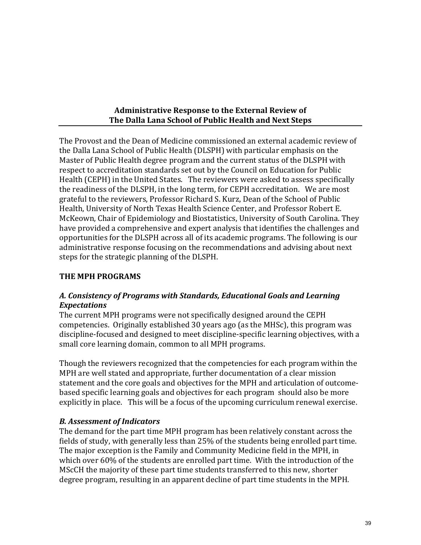## **Administrative Response to the External Review of The Dalla Lana School of Public Health and Next Steps** t,

 Health (CEPH) in the United States. The reviewers were asked to assess specifically the readiness of the DLSPH, in the long term, for CEPH accreditation. We are most The Provost and the Dean of Medicine commissioned an external academic review of the Dalla Lana School of Public Health (DLSPH) with particular emphasis on the Master of Public Health degree program and the current status of the DLSPH with respect to accreditation standards set out by the Council on Education for Public grateful to the reviewers, Professor Richard S. Kurz, Dean of the School of Public Health, University of North Texas Health Science Center, and Professor Robert E. McKeown, Chair of Epidemiology and Biostatistics, University of South Carolina. They have provided a comprehensive and expert analysis that identifies the challenges and opportunities for the DLSPH across all of its academic programs. The following is our administrative response focusing on the recommendations and advising about next steps for the strategic planning of the DLSPH.

## **THE MPH PROGRAMS**

## *A. Consistency of Programs with Standards, Educational Goals and Learning Expectations*

 competencies. Originally established 30 years ago (as the MHSc), this program was The current MPH programs were not specifically designed around the CEPH discipline-focused and designed to meet discipline-specific learning objectives, with a small core learning domain, common to all MPH programs.

Though the reviewers recognized that the competencies for each program within the MPH are well stated and appropriate, further documentation of a clear mission statement and the core goals and objectives for the MPH and articulation of outcomebased specific learning goals and objectives for each program should also be more explicitly in place. This will be a focus of the upcoming curriculum renewal exercise.

## *B. Assessment of Indicators*

 fields of study, with generally less than 25% of the students being enrolled part time. The demand for the part time MPH program has been relatively constant across the The major exception is the Family and Community Medicine field in the MPH, in which over 60% of the students are enrolled part time. With the introduction of the MScCH the majority of these part time students transferred to this new, shorter degree program, resulting in an apparent decline of part time students in the MPH.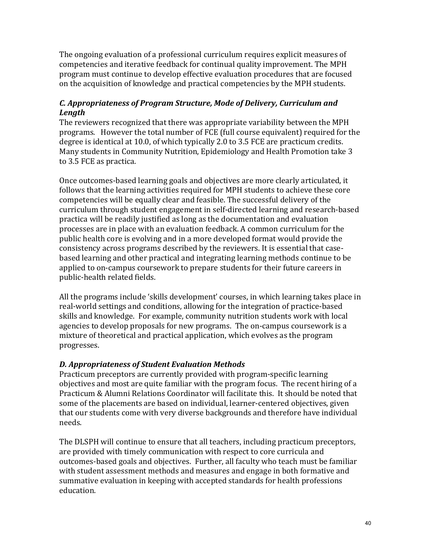The ongoing evaluation of a professional curriculum requires explicit measures of competencies and iterative feedback for continual quality improvement. The MPH program must continue to develop effective evaluation procedures that are focused on the acquisition of knowledge and practical competencies by the MPH students.

# *C. Appropriateness of Program Structure, Mode of Delivery, Curriculum and Length*

 degree is identical at 10.0, of which typically 2.0 to 3.5 FCE are practicum credits. The reviewers recognized that there was appropriate variability between the MPH programs. However the total number of FCE (full course equivalent) required for the Many students in Community Nutrition, Epidemiology and Health Promotion take 3 to 3.5 FCE as practica.

 competencies will be equally clear and feasible. The successful delivery of the Once outcomes-based learning goals and objectives are more clearly articulated, it follows that the learning activities required for MPH students to achieve these core curriculum through student engagement in self-directed learning and research-based practica will be readily justified as long as the documentation and evaluation processes are in place with an evaluation feedback. A common curriculum for the public health core is evolving and in a more developed format would provide the consistency across programs described by the reviewers. It is essential that casebased learning and other practical and integrating learning methods continue to be applied to on-campus coursework to prepare students for their future careers in public-health related fields.

 progresses. All the programs include 'skills development' courses, in which learning takes place in real-world settings and conditions, allowing for the integration of practice-based skills and knowledge. For example, community nutrition students work with local agencies to develop proposals for new programs. The on-campus coursework is a mixture of theoretical and practical application, which evolves as the program

# *D. Appropriateness of Student Evaluation Methods*

Practicum preceptors are currently provided with program-specific learning objectives and most are quite familiar with the program focus. The recent hiring of a Practicum & Alumni Relations Coordinator will facilitate this. It should be noted that some of the placements are based on individual, learner-centered objectives, given that our students come with very diverse backgrounds and therefore have individual needs.

The DLSPH will continue to ensure that all teachers, including practicum preceptors, are provided with timely communication with respect to core curricula and outcomes-based goals and objectives. Further, all faculty who teach must be familiar with student assessment methods and measures and engage in both formative and summative evaluation in keeping with accepted standards for health professions education.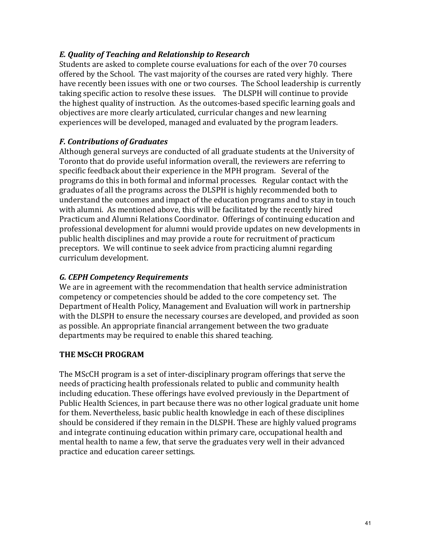# *E. Quality of Teaching and Relationship to Research*

 Students are asked to complete course evaluations for each of the over 70 courses taking specific action to resolve these issues. The DLSPH will continue to provide offered by the School. The vast majority of the courses are rated very highly. There have recently been issues with one or two courses. The School leadership is currently the highest quality of instruction. As the outcomes-based specific learning goals and objectives are more clearly articulated, curricular changes and new learning experiences will be developed, managed and evaluated by the program leaders.

## *F. Contributions of Graduates*

Although general surveys are conducted of all graduate students at the University of Toronto that do provide useful information overall, the reviewers are referring to specific feedback about their experience in the MPH program. Several of the programs do this in both formal and informal processes. Regular contact with the graduates of all the programs across the DLSPH is highly recommended both to understand the outcomes and impact of the education programs and to stay in touch with alumni. As mentioned above, this will be facilitated by the recently hired Practicum and Alumni Relations Coordinator. Offerings of continuing education and professional development for alumni would provide updates on new developments in public health disciplines and may provide a route for recruitment of practicum preceptors. We will continue to seek advice from practicing alumni regarding curriculum development.

## *G. CEPH Competency Requirements*

We are in agreement with the recommendation that health service administration competency or competencies should be added to the core competency set. The Department of Health Policy, Management and Evaluation will work in partnership with the DLSPH to ensure the necessary courses are developed, and provided as soon as possible. An appropriate financial arrangement between the two graduate departments may be required to enable this shared teaching.

## **THE MScCH PROGRAM**

The MScCH program is a set of inter-disciplinary program offerings that serve the needs of practicing health professionals related to public and community health including education. These offerings have evolved previously in the Department of Public Health Sciences, in part because there was no other logical graduate unit home for them. Nevertheless, basic public health knowledge in each of these disciplines should be considered if they remain in the DLSPH. These are highly valued programs and integrate continuing education within primary care, occupational health and mental health to name a few, that serve the graduates very well in their advanced practice and education career settings.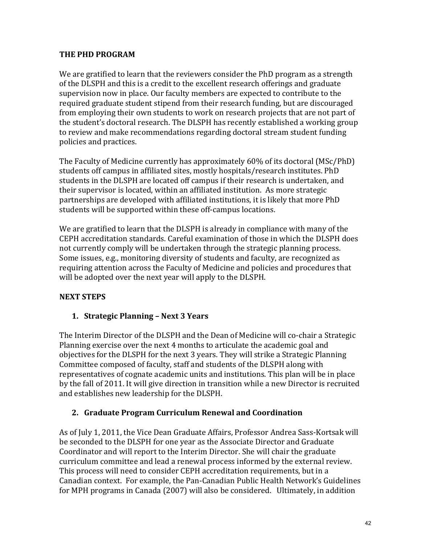## **THE PHD PROGRAM**

We are gratified to learn that the reviewers consider the PhD program as a strength of the DLSPH and this is a credit to the excellent research offerings and graduate supervision now in place. Our faculty members are expected to contribute to the required graduate student stipend from their research funding, but are discouraged from employing their own students to work on research projects that are not part of the student's doctoral research. The DLSPH has recently established a working group to review and make recommendations regarding doctoral stream student funding policies and practices.

The Faculty of Medicine currently has approximately 60% of its doctoral (MSc/PhD) students off campus in affiliated sites, mostly hospitals/research institutes. PhD students in the DLSPH are located off campus if their research is undertaken, and their supervisor is located, within an affiliated institution. As more strategic partnerships are developed with affiliated institutions, it is likely that more PhD students will be supported within these off-campus locations.

We are gratified to learn that the DLSPH is already in compliance with many of the CEPH accreditation standards. Careful examination of those in which the DLSPH does not currently comply will be undertaken through the strategic planning process. Some issues, e.g., monitoring diversity of students and faculty, are recognized as requiring attention across the Faculty of Medicine and policies and procedures that will be adopted over the next year will apply to the DLSPH.

# **NEXT STEPS**

# **1. Strategic Planning – Next 3 Years**

 Committee composed of faculty, staff and students of the DLSPH along with The Interim Director of the DLSPH and the Dean of Medicine will co-chair a Strategic Planning exercise over the next 4 months to articulate the academic goal and objectives for the DLSPH for the next 3 years. They will strike a Strategic Planning representatives of cognate academic units and institutions. This plan will be in place by the fall of 2011. It will give direction in transition while a new Director is recruited and establishes new leadership for the DLSPH.

# **2. Graduate Program Curriculum Renewal and Coordination**

As of July 1, 2011, the Vice Dean Graduate Affairs, Professor Andrea Sass-Kortsak will be seconded to the DLSPH for one year as the Associate Director and Graduate Coordinator and will report to the Interim Director. She will chair the graduate curriculum committee and lead a renewal process informed by the external review. This process will need to consider CEPH accreditation requirements, but in a Canadian context. For example, the Pan-Canadian Public Health Network's Guidelines for MPH programs in Canada (2007) will also be considered. Ultimately, in addition